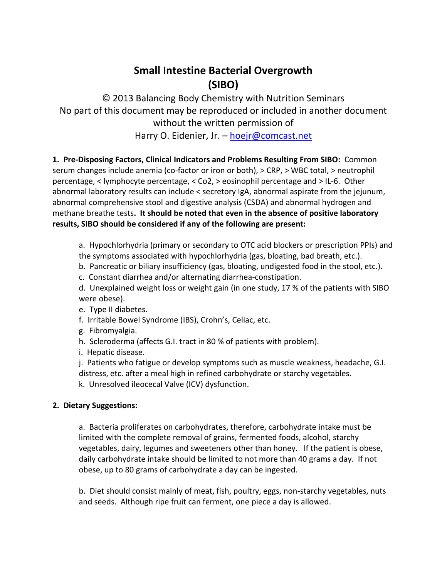## **Small Intestine Bacterial Overgrowth (SIBO)**

© 2013 Balancing Body Chemistry with Nutrition Seminars No part of this document may be reproduced or included in another document without the written permission of Harry O. Eidenier, Jr. - [hoejr@comcast.net](mailto:hoejr@comcast.net)

**1. Pre-Disposing Factors, Clinical Indicators and Problems Resulting From SIBO:** Common serum changes include anemia (co-factor or iron or both), > CRP, > WBC total, > neutrophil percentage, < lymphocyte percentage, < Co2, > eosinophil percentage and > IL-6. Other abnormal laboratory results can include < secretory IgA, abnormal aspirate from the jejunum, abnormal comprehensive stool and digestive analysis (CSDA) and abnormal hydrogen and methane breathe tests**. It should be noted that even in the absence of positive laboratory results, SIBO should be considered if any of the following are present:**

a. Hypochlorhydria (primary or secondary to OTC acid blockers or prescription PPIs) and the symptoms associated with hypochlorhydria (gas, bloating, bad breath, etc.).

- b. Pancreatic or biliary insufficiency (gas, bloating, undigested food in the stool, etc.).
- c. Constant diarrhea and/or alternating diarrhea-constipation.

d. Unexplained weight loss or weight gain (in one study, 17 % of the patients with SIBO were obese).

e. Type II diabetes.

- f. Irritable Bowel Syndrome (IBS), Crohn's, Celiac, etc.
- g. Fibromyalgia.
- h. Scleroderma (affects G.I. tract in 80 % of patients with problem).
- i. Hepatic disease.

j. Patients who fatigue or develop symptoms such as muscle weakness, headache, G.I. distress, etc. after a meal high in refined carbohydrate or starchy vegetables.

k. Unresolved ileocecal Valve (ICV) dysfunction.

## **2. Dietary Suggestions:**

a. Bacteria proliferates on carbohydrates, therefore, carbohydrate intake must be limited with the complete removal of grains, fermented foods, alcohol, starchy vegetables, dairy, legumes and sweeteners other than honey. If the patient is obese, daily carbohydrate intake should be limited to not more than 40 grams a day. If not obese, up to 80 grams of carbohydrate a day can be ingested.

b. Diet should consist mainly of meat, fish, poultry, eggs, non-starchy vegetables, nuts and seeds. Although ripe fruit can ferment, one piece a day is allowed.